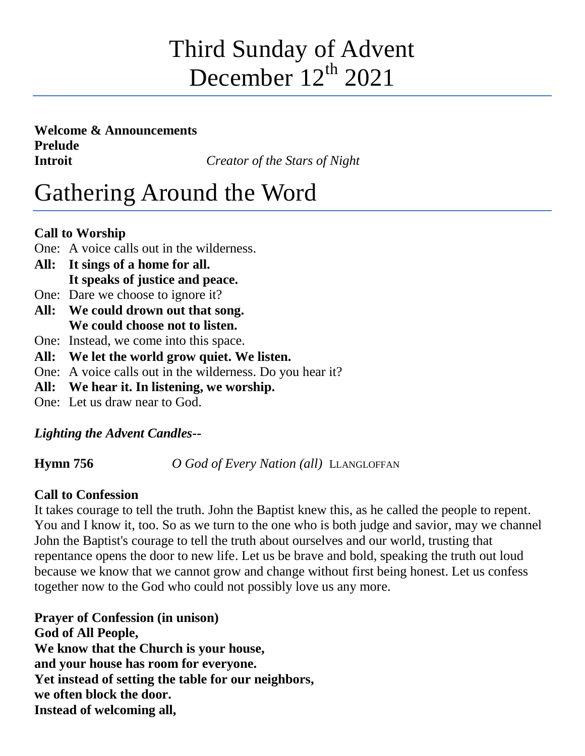## Third Sunday of Advent December  $12^{th}$  2021

**Welcome & Announcements Prelude Introit** *Creator of the Stars of Night*

# Gathering Around the Word

### **Call to Worship**

- One: A voice calls out in the wilderness.
- **All: It sings of a home for all. It speaks of justice and peace.**
- One: Dare we choose to ignore it?
- **All: We could drown out that song. We could choose not to listen.**
- One: Instead, we come into this space.
- **All: We let the world grow quiet. We listen.**
- One: A voice calls out in the wilderness. Do you hear it?
- **All: We hear it. In listening, we worship.**
- One: Let us draw near to God.

## *Lighting the Advent Candles--*

**Hymn 756** *O God of Every Nation (all)* LLANGLOFFAN

## **Call to Confession**

It takes courage to tell the truth. John the Baptist knew this, as he called the people to repent. You and I know it, too. So as we turn to the one who is both judge and savior, may we channel John the Baptist's courage to tell the truth about ourselves and our world, trusting that repentance opens the door to new life. Let us be brave and bold, speaking the truth out loud because we know that we cannot grow and change without first being honest. Let us confess together now to the God who could not possibly love us any more.

**Prayer of Confession (in unison) God of All People, We know that the Church is your house, and your house has room for everyone. Yet instead of setting the table for our neighbors, we often block the door. Instead of welcoming all,**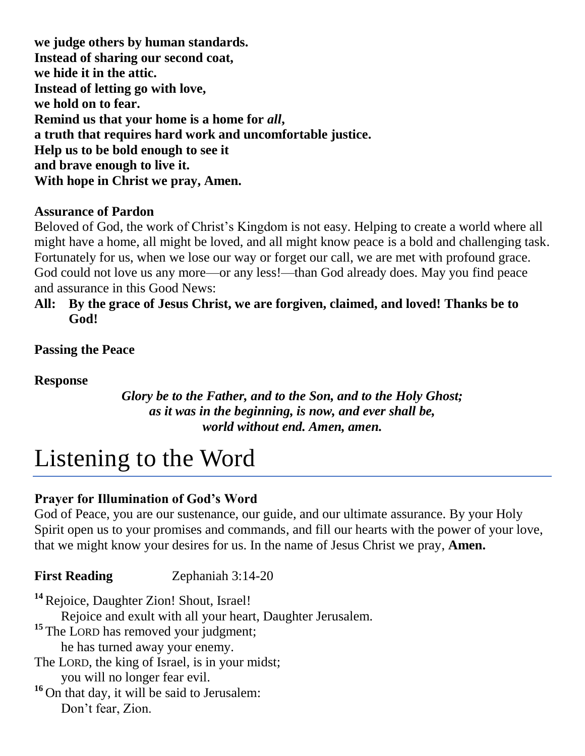**we judge others by human standards. Instead of sharing our second coat, we hide it in the attic. Instead of letting go with love, we hold on to fear. Remind us that your home is a home for** *all***, a truth that requires hard work and uncomfortable justice. Help us to be bold enough to see it and brave enough to live it. With hope in Christ we pray, Amen.**

#### **Assurance of Pardon**

Beloved of God, the work of Christ's Kingdom is not easy. Helping to create a world where all might have a home, all might be loved, and all might know peace is a bold and challenging task. Fortunately for us, when we lose our way or forget our call, we are met with profound grace. God could not love us any more—or any less!—than God already does. May you find peace and assurance in this Good News:

#### **All: By the grace of Jesus Christ, we are forgiven, claimed, and loved! Thanks be to God!**

**Passing the Peace**

**Response** 

*Glory be to the Father, and to the Son, and to the Holy Ghost; as it was in the beginning, is now, and ever shall be, world without end. Amen, amen.*

## Listening to the Word

## **Prayer for Illumination of God's Word**

God of Peace, you are our sustenance, our guide, and our ultimate assurance. By your Holy Spirit open us to your promises and commands, and fill our hearts with the power of your love, that we might know your desires for us. In the name of Jesus Christ we pray, **Amen.**

**First Reading** Zephaniah 3:14-20

<sup>14</sup> Rejoice, Daughter Zion! Shout, Israel! Rejoice and exult with all your heart, Daughter Jerusalem. <sup>15</sup> The LORD has removed your judgment; he has turned away your enemy. The LORD, the king of Israel, is in your midst; you will no longer fear evil. **<sup>16</sup>** On that day, it will be said to Jerusalem: Don't fear, Zion.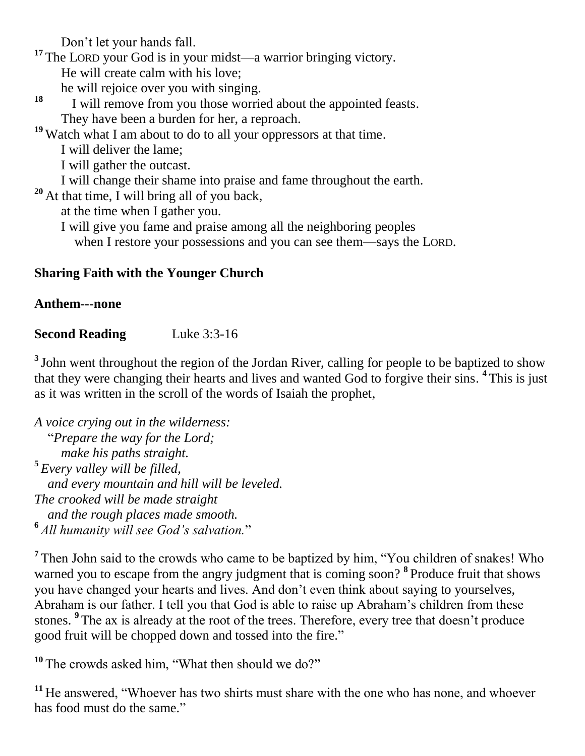Don't let your hands fall.

**<sup>17</sup>** The LORD your God is in your midst—a warrior bringing victory.

He will create calm with his love;

he will rejoice over you with singing.

**18** I will remove from you those worried about the appointed feasts. They have been a burden for her, a reproach.

**<sup>19</sup>** Watch what I am about to do to all your oppressors at that time.

I will deliver the lame;

I will gather the outcast.

I will change their shame into praise and fame throughout the earth.

**<sup>20</sup>** At that time, I will bring all of you back,

at the time when I gather you.

I will give you fame and praise among all the neighboring peoples

when I restore your possessions and you can see them—says the LORD.

#### **Sharing Faith with the Younger Church**

#### **Anthem---none**

#### **Second Reading** Luke 3:3-16

<sup>3</sup> John went throughout the region of the Jordan River, calling for people to be baptized to show that they were changing their hearts and lives and wanted God to forgive their sins. **4** This is just as it was written in the scroll of the words of Isaiah the prophet,

*A voice crying out in the wilderness:* "*Prepare the way for the Lord; make his paths straight.* **5** *Every valley will be filled, and every mountain and hill will be leveled. The crooked will be made straight and the rough places made smooth.* **6** *All humanity will see God's salvation.*"

<sup>7</sup> Then John said to the crowds who came to be baptized by him, "You children of snakes! Who warned you to escape from the angry judgment that is coming soon? **8** Produce fruit that shows you have changed your hearts and lives. And don't even think about saying to yourselves, Abraham is our father. I tell you that God is able to raise up Abraham's children from these stones. <sup>9</sup> The ax is already at the root of the trees. Therefore, every tree that doesn't produce good fruit will be chopped down and tossed into the fire."

<sup>10</sup> The crowds asked him, "What then should we do?"

**<sup>11</sup>** He answered, "Whoever has two shirts must share with the one who has none, and whoever has food must do the same."